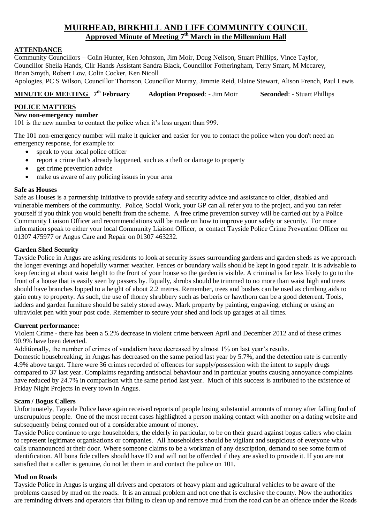# **MUIRHEAD, BIRKHILL AND LIFF COMMUNITY COUNCIL Approved Minute of Meeting 7 th March in the Millennium Hall**

# **ATTENDANCE**

Community Councillors – Colin Hunter, Ken Johnston, Jim Moir, Doug Neilson, Stuart Phillips, Vince Taylor, Councillor Sheila Hands, Cllr Hands Assistant Sandra Black, Councillor Fotheringham, Terry Smart, M Mccarey, Brian Smyth, Robert Low, Colin Cocker, Ken Nicoll

Apologies, PC S Wilson, Councillor Thomson, Councillor Murray, Jimmie Reid, Elaine Stewart, Alison French, Paul Lewis

#### **MINUTE OF MEETING**  $7<sup>th</sup>$  February **Adoption Proposed:** - Jim Moir **Seconded:** - Stuart Phillips

# **POLICE MATTERS**

#### **New non-emergency number**

101 is the new number to contact the police when it's less urgent than 999.

The 101 non-emergency number will make it quicker and easier for you to contact the police when you don't need an emergency response, for example to:

- speak to your local police officer
- report a crime that's already happened, such as a theft or damage to property
- **e** get crime prevention advice
- make us aware of any policing issues in your area

## **Safe as Houses**

Safe as Houses is a partnership initiative to provide safety and security advice and assistance to older, disabled and vulnerable members of the community. Police, Social Work, your GP can all refer you to the project, and you can refer yourself if you think you would benefit from the scheme. A free crime prevention survey will be carried out by a Police Community Liaison Officer and recommendations will be made on how to improve your safety or security. For more information speak to either your local Community Liaison Officer, or contact Tayside Police Crime Prevention Officer on 01307 475977 or Angus Care and Repair on 01307 463232.

## **Garden Shed Security**

Tayside Police in Angus are asking residents to look at security issues surrounding gardens and garden sheds as we approach the longer evenings and hopefully warmer weather. Fences or boundary walls should be kept in good repair. It is advisable to keep fencing at about waist height to the front of your house so the garden is visible. A criminal is far less likely to go to the front of a house that is easily seen by passers by. Equally, shrubs should be trimmed to no more than waist high and trees should have branches lopped to a height of about 2.2 metres. Remember, trees and bushes can be used as climbing aids to gain entry to property. As such, the use of thorny shrubbery such as berberis or hawthorn can be a good deterrent. Tools, ladders and garden furniture should be safely stored away. Mark property by painting, engraving, etching or using an ultraviolet pen with your post code. Remember to secure your shed and lock up garages at all times.

## **Current performance:**

Violent Crime - there has been a 5.2% decrease in violent crime between April and December 2012 and of these crimes 90.9% have been detected.

Additionally, the number of crimes of vandalism have decreased by almost 1% on last year's results.

Domestic housebreaking, in Angus has decreased on the same period last year by 5.7%, and the detection rate is currently 4.9% above target. There were 36 crimes recorded of offences for supply/possession with the intent to supply drugs compared to 37 last year. Complaints regarding antisocial behaviour and in particular youths causing annoyance complaints have reduced by 24.7% in comparison with the same period last year. Much of this success is attributed to the existence of Friday Night Projects in every town in Angus.

## **Scam / Bogus Callers**

Unfortunately, Tayside Police have again received reports of people losing substantial amounts of money after falling foul of unscrupulous people. One of the most recent cases highlighted a person making contact with another on a dating website and subsequently being conned out of a considerable amount of money.

Tayside Police continue to urge householders, the elderly in particular, to be on their guard against bogus callers who claim to represent legitimate organisations or companies. All householders should be vigilant and suspicious of everyone who calls unannounced at their door. Where someone claims to be a workman of any description, demand to see some form of identification. All bona fide callers should have ID and will not be offended if they are asked to provide it. If you are not satisfied that a caller is genuine, do not let them in and contact the police on 101.

## **Mud on Roads**

Tayside Police in Angus is urging all drivers and operators of heavy plant and agricultural vehicles to be aware of the problems caused by mud on the roads. It is an annual problem and not one that is exclusive the county. Now the authorities are reminding drivers and operators that failing to clean up and remove mud from the road can be an offence under the Roads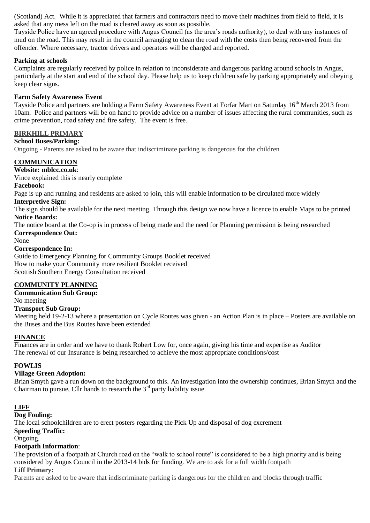(Scotland) Act. While it is appreciated that farmers and contractors need to move their machines from field to field, it is asked that any mess left on the road is cleared away as soon as possible.

Tayside Police have an agreed procedure with Angus Council (as the area's roads authority), to deal with any instances of mud on the road. This may result in the council arranging to clean the road with the costs then being recovered from the offender. Where necessary, tractor drivers and operators will be charged and reported.

# **Parking at schools**

Complaints are regularly received by police in relation to inconsiderate and dangerous parking around schools in Angus, particularly at the start and end of the school day. Please help us to keep children safe by parking appropriately and obeying keep clear signs.

## **Farm Safety Awareness Event**

Tayside Police and partners are holding a Farm Safety Awareness Event at Forfar Mart on Saturday 16<sup>th</sup> March 2013 from 10am. Police and partners will be on hand to provide advice on a number of issues affecting the rural communities, such as crime prevention, road safety and fire safety. The event is free.

# **BIRKHILL PRIMARY**

# **School Buses/Parking:**

Ongoing - Parents are asked to be aware that indiscriminate parking is dangerous for the children

# **COMMUNICATION**

**Website: mblcc.co.uk**:

Vince explained this is nearly complete

#### **Facebook:**

Page is up and running and residents are asked to join, this will enable information to be circulated more widely

#### **Interpretive Sign:**

The sign should be available for the next meeting. Through this design we now have a licence to enable Maps to be printed **Notice Boards:**

The notice board at the Co-op is in process of being made and the need for Planning permission is being researched **Correspondence Out:**

#### None

#### **Correspondence In:**

Guide to Emergency Planning for Community Groups Booklet received How to make your Community more resilient Booklet received Scottish Southern Energy Consultation received

# **COMMUNITY PLANNING**

# **Communication Sub Group:**

No meeting

## **Transport Sub Group:**

Meeting held 19-2-13 where a presentation on Cycle Routes was given - an Action Plan is in place – Posters are available on the Buses and the Bus Routes have been extended

## **FINANCE**

Finances are in order and we have to thank Robert Low for, once again, giving his time and expertise as Auditor The renewal of our Insurance is being researched to achieve the most appropriate conditions/cost

## **FOWLIS**

## **Village Green Adoption:**

Brian Smyth gave a run down on the background to this. An investigation into the ownership continues, Brian Smyth and the Chairman to pursue, Cllr hands to research the  $3<sup>rd</sup>$  party liability issue

## **LIFF**

#### **Dog Fouling:**

The local schoolchildren are to erect posters regarding the Pick Up and disposal of dog excrement

# **Speeding Traffic:**

# Ongoing.

## **Footpath Information**:

The provision of a footpath at Church road on the "walk to school route" is considered to be a high priority and is being considered by Angus Council in the 2013-14 bids for funding. We are to ask for a full width footpath **Liff Primary:** 

Parents are asked to be aware that indiscriminate parking is dangerous for the children and blocks through traffic